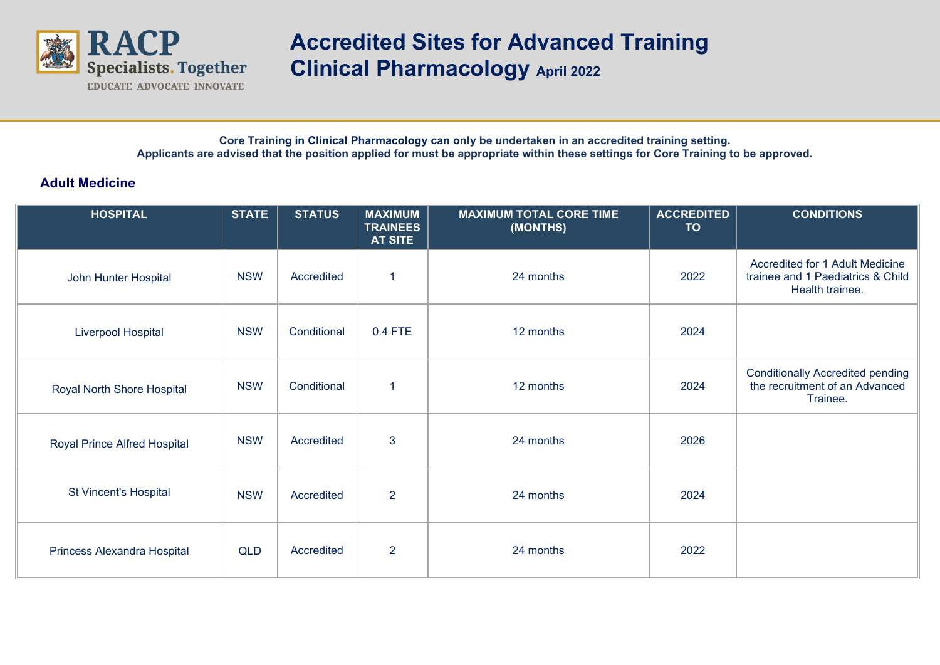

## **Accredited Sites for Advanced Training Clinical Pharmacology April 2022**

**Core Training in Clinical Pharmacology can only be undertaken in an accredited training setting. Applicants are advised that the position applied for must be appropriate within these settings for Core Training to be approved.**

## **Adult Medicine**

| <b>HOSPITAL</b>                     | <b>STATE</b> | <b>STATUS</b> | <b>MAXIMUM</b><br><b>TRAINEES</b><br><b>AT SITE</b> | <b>MAXIMUM TOTAL CORE TIME</b><br>(MONTHS) | <b>ACCREDITED</b><br><b>TO</b> | <b>CONDITIONS</b>                                                                       |
|-------------------------------------|--------------|---------------|-----------------------------------------------------|--------------------------------------------|--------------------------------|-----------------------------------------------------------------------------------------|
| John Hunter Hospital                | <b>NSW</b>   | Accredited    | 1                                                   | 24 months                                  | 2022                           | Accredited for 1 Adult Medicine<br>trainee and 1 Paediatrics & Child<br>Health trainee. |
| <b>Liverpool Hospital</b>           | <b>NSW</b>   | Conditional   | 0.4 FTE                                             | 12 months                                  | 2024                           |                                                                                         |
| Royal North Shore Hospital          | <b>NSW</b>   | Conditional   | 1                                                   | 12 months                                  | 2024                           | <b>Conditionally Accredited pending</b><br>the recruitment of an Advanced<br>Trainee.   |
| <b>Royal Prince Alfred Hospital</b> | <b>NSW</b>   | Accredited    | 3                                                   | 24 months                                  | 2026                           |                                                                                         |
| St Vincent's Hospital               | <b>NSW</b>   | Accredited    | $\overline{2}$                                      | 24 months                                  | 2024                           |                                                                                         |
| Princess Alexandra Hospital         | QLD          | Accredited    | $\overline{2}$                                      | 24 months                                  | 2022                           |                                                                                         |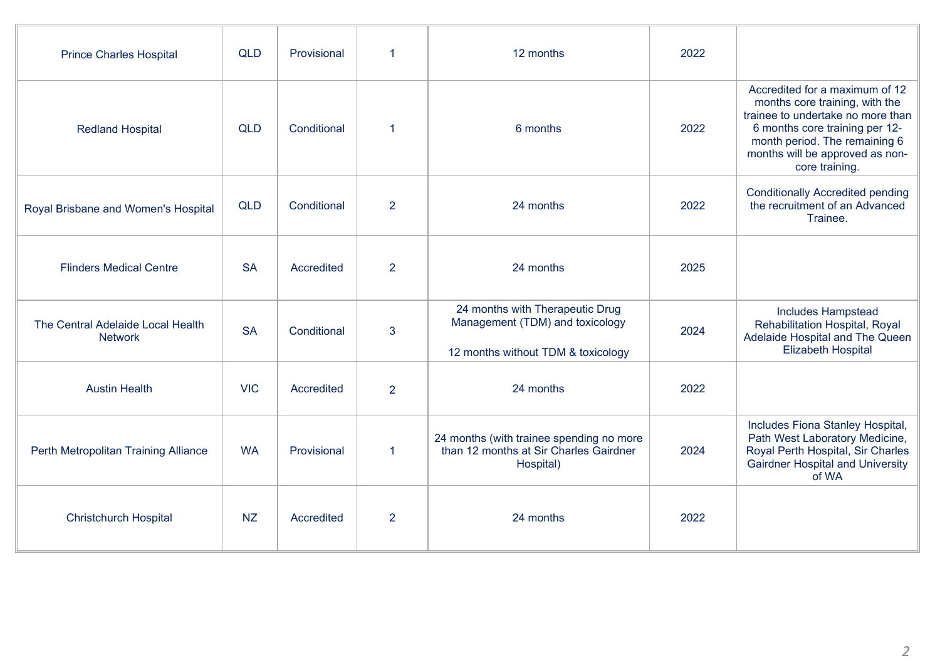| <b>Prince Charles Hospital</b>                      | <b>QLD</b> | Provisional | 1              | 12 months                                                                                                | 2022 |                                                                                                                                                                                                                               |
|-----------------------------------------------------|------------|-------------|----------------|----------------------------------------------------------------------------------------------------------|------|-------------------------------------------------------------------------------------------------------------------------------------------------------------------------------------------------------------------------------|
| <b>Redland Hospital</b>                             | <b>QLD</b> | Conditional | 1              | 6 months                                                                                                 | 2022 | Accredited for a maximum of 12<br>months core training, with the<br>trainee to undertake no more than<br>6 months core training per 12-<br>month period. The remaining 6<br>months will be approved as non-<br>core training. |
| Royal Brisbane and Women's Hospital                 | <b>QLD</b> | Conditional | $\overline{2}$ | 24 months                                                                                                | 2022 | <b>Conditionally Accredited pending</b><br>the recruitment of an Advanced<br>Trainee.                                                                                                                                         |
| <b>Flinders Medical Centre</b>                      | <b>SA</b>  | Accredited  | $\overline{2}$ | 24 months                                                                                                | 2025 |                                                                                                                                                                                                                               |
| The Central Adelaide Local Health<br><b>Network</b> | <b>SA</b>  | Conditional | $\overline{3}$ | 24 months with Therapeutic Drug<br>Management (TDM) and toxicology<br>12 months without TDM & toxicology | 2024 | Includes Hampstead<br>Rehabilitation Hospital, Royal<br>Adelaide Hospital and The Queen<br><b>Elizabeth Hospital</b>                                                                                                          |
| <b>Austin Health</b>                                | <b>VIC</b> | Accredited  | $\overline{2}$ | 24 months                                                                                                | 2022 |                                                                                                                                                                                                                               |
| Perth Metropolitan Training Alliance                | <b>WA</b>  | Provisional | 1              | 24 months (with trainee spending no more<br>than 12 months at Sir Charles Gairdner<br>Hospital)          | 2024 | Includes Fiona Stanley Hospital,<br>Path West Laboratory Medicine,<br>Royal Perth Hospital, Sir Charles<br><b>Gairdner Hospital and University</b><br>of WA                                                                   |
| <b>Christchurch Hospital</b>                        | <b>NZ</b>  | Accredited  | $\overline{2}$ | 24 months                                                                                                | 2022 |                                                                                                                                                                                                                               |